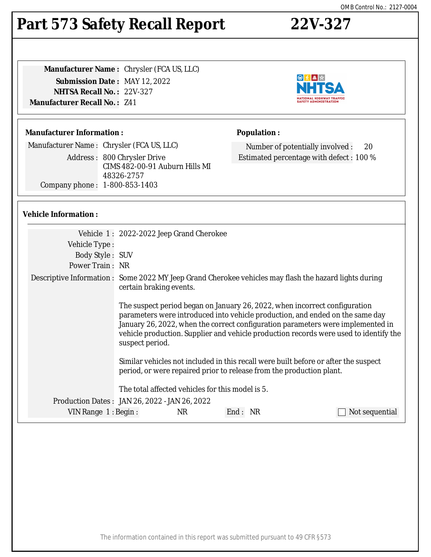#### The information contained in this report was submitted pursuant to 49 CFR §573

# **Part 573 Safety Recall Report 22V-327**

**Manufacturer Name :** Chrysler (FCA US, LLC) **Submission Date :** MAY 12, 2022 **NHTSA Recall No. :** 22V-327 **Manufacturer Recall No. :** Z41

### **Manufacturer Information :**

Manufacturer Name : Chrysler (FCA US, LLC) Address : 800 Chrysler Drive CIMS 482-00-91 Auburn Hills MI 48326-2757 Company phone : 1-800-853-1403

## **Vehicle Information :**

|                        | Vehicle 1: 2022-2022 Jeep Grand Cherokee                                                                                                                                                                                                                                                                                                                   |
|------------------------|------------------------------------------------------------------------------------------------------------------------------------------------------------------------------------------------------------------------------------------------------------------------------------------------------------------------------------------------------------|
| Vehicle Type:          |                                                                                                                                                                                                                                                                                                                                                            |
| Body Style: SUV        |                                                                                                                                                                                                                                                                                                                                                            |
| Power Train: NR        |                                                                                                                                                                                                                                                                                                                                                            |
|                        | Descriptive Information : Some 2022 MY Jeep Grand Cherokee vehicles may flash the hazard lights during<br>certain braking events.                                                                                                                                                                                                                          |
|                        | The suspect period began on January 26, 2022, when incorrect configuration<br>parameters were introduced into vehicle production, and ended on the same day<br>January 26, 2022, when the correct configuration parameters were implemented in<br>vehicle production. Supplier and vehicle production records were used to identify the<br>suspect period. |
|                        | Similar vehicles not included in this recall were built before or after the suspect<br>period, or were repaired prior to release from the production plant.                                                                                                                                                                                                |
|                        | The total affected vehicles for this model is 5.                                                                                                                                                                                                                                                                                                           |
|                        | Production Dates : JAN 26, 2022 - JAN 26, 2022                                                                                                                                                                                                                                                                                                             |
| VIN Range $1:$ Begin : | NR<br>End: NR<br>Not sequential                                                                                                                                                                                                                                                                                                                            |
|                        |                                                                                                                                                                                                                                                                                                                                                            |



Number of potentially involved : 20 Estimated percentage with defect : 100 %

**Population :**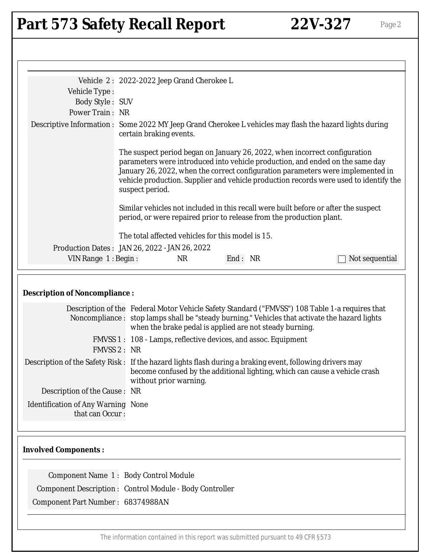# Part 573 Safety Recall Report 22V-327 Page 2

|                                                                                                                                        | Vehicle 2: 2022-2022 Jeep Grand Cherokee L                                                                                                                                                                                                                                                                                                                 |  |  |
|----------------------------------------------------------------------------------------------------------------------------------------|------------------------------------------------------------------------------------------------------------------------------------------------------------------------------------------------------------------------------------------------------------------------------------------------------------------------------------------------------------|--|--|
| Vehicle Type:                                                                                                                          |                                                                                                                                                                                                                                                                                                                                                            |  |  |
| <b>Body Style: SUV</b>                                                                                                                 |                                                                                                                                                                                                                                                                                                                                                            |  |  |
| Power Train: NR                                                                                                                        |                                                                                                                                                                                                                                                                                                                                                            |  |  |
|                                                                                                                                        | Descriptive Information : Some 2022 MY Jeep Grand Cherokee L vehicles may flash the hazard lights during<br>certain braking events.                                                                                                                                                                                                                        |  |  |
|                                                                                                                                        | The suspect period began on January 26, 2022, when incorrect configuration<br>parameters were introduced into vehicle production, and ended on the same day<br>January 26, 2022, when the correct configuration parameters were implemented in<br>vehicle production. Supplier and vehicle production records were used to identify the<br>suspect period. |  |  |
|                                                                                                                                        | Similar vehicles not included in this recall were built before or after the suspect<br>period, or were repaired prior to release from the production plant.                                                                                                                                                                                                |  |  |
|                                                                                                                                        | The total affected vehicles for this model is 15.                                                                                                                                                                                                                                                                                                          |  |  |
|                                                                                                                                        | Production Dates: JAN 26, 2022 - JAN 26, 2022                                                                                                                                                                                                                                                                                                              |  |  |
| VIN Range 1: Begin:                                                                                                                    | End: NR<br><b>NR</b><br>Not sequential                                                                                                                                                                                                                                                                                                                     |  |  |
| <b>Description of Noncompliance:</b><br>Description of the Federal Motor Vehicle Safety Standard ("FMVSS") 108 Table 1-a requires that |                                                                                                                                                                                                                                                                                                                                                            |  |  |
|                                                                                                                                        | Noncompliance : stop lamps shall be "steady burning." Vehicles that activate the hazard lights<br>when the brake pedal is applied are not steady burning.                                                                                                                                                                                                  |  |  |
| <b>FMVSS 2: NR</b>                                                                                                                     | FMVSS 1: 108 - Lamps, reflective devices, and assoc. Equipment                                                                                                                                                                                                                                                                                             |  |  |
|                                                                                                                                        | Description of the Safety Risk: If the hazard lights flash during a braking event, following drivers may<br>become confused by the additional lighting, which can cause a vehicle crash<br>without prior warning.                                                                                                                                          |  |  |
| Description of the Cause: NR                                                                                                           |                                                                                                                                                                                                                                                                                                                                                            |  |  |
| <b>Identification of Any Warning None</b><br>that can Occur:                                                                           |                                                                                                                                                                                                                                                                                                                                                            |  |  |
| <b>Involved Components:</b>                                                                                                            |                                                                                                                                                                                                                                                                                                                                                            |  |  |
| Component Name 1: Body Control Module                                                                                                  |                                                                                                                                                                                                                                                                                                                                                            |  |  |
| <b>Component Description: Control Module - Body Controller</b>                                                                         |                                                                                                                                                                                                                                                                                                                                                            |  |  |
| Component Part Number: 68374988AN                                                                                                      |                                                                                                                                                                                                                                                                                                                                                            |  |  |
|                                                                                                                                        |                                                                                                                                                                                                                                                                                                                                                            |  |  |

The information contained in this report was submitted pursuant to 49 CFR §573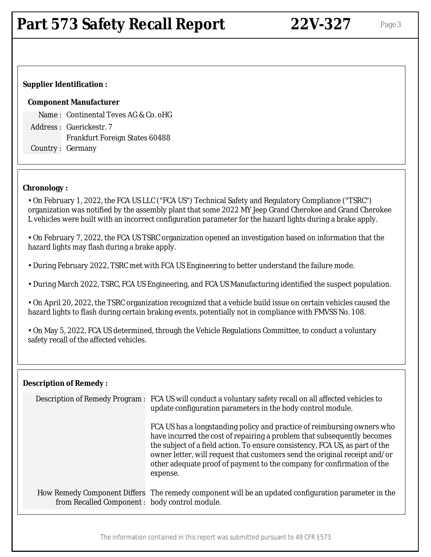### **Supplier Identification :**

### **Component Manufacturer**

Name : Continental Teves AG & Co. oHG Address : Guerickestr. 7 Frankfurt Foreign States 60488 Country : Germany

### **Chronology :**

• On February 1, 2022, the FCA US LLC ("FCA US") Technical Safety and Regulatory Compliance ("TSRC") organization was notified by the assembly plant that some 2022 MY Jeep Grand Cherokee and Grand Cherokee L vehicles were built with an incorrect configuration parameter for the hazard lights during a brake apply.

• On February 7, 2022, the FCA US TSRC organization opened an investigation based on information that the hazard lights may flash during a brake apply.

• During February 2022, TSRC met with FCA US Engineering to better understand the failure mode.

• During March 2022, TSRC, FCA US Engineering, and FCA US Manufacturing identified the suspect population.

• On April 20, 2022, the TSRC organization recognized that a vehicle build issue on certain vehicles caused the hazard lights to flash during certain braking events, potentially not in compliance with FMVSS No. 108.

• On May 5, 2022, FCA US determined, through the Vehicle Regulations Committee, to conduct a voluntary safety recall of the affected vehicles.

| <b>Description of Remedy:</b>                  |                                                                                                                                                                                                                                                                                                                                                                                                        |  |
|------------------------------------------------|--------------------------------------------------------------------------------------------------------------------------------------------------------------------------------------------------------------------------------------------------------------------------------------------------------------------------------------------------------------------------------------------------------|--|
|                                                | Description of Remedy Program : FCA US will conduct a voluntary safety recall on all affected vehicles to<br>update configuration parameters in the body control module.                                                                                                                                                                                                                               |  |
|                                                | FCA US has a longstanding policy and practice of reimbursing owners who<br>have incurred the cost of repairing a problem that subsequently becomes<br>the subject of a field action. To ensure consistency, FCA US, as part of the<br>owner letter, will request that customers send the original receipt and/or<br>other adequate proof of payment to the company for confirmation of the<br>expense. |  |
| from Recalled Component : body control module. | How Remedy Component Differs The remedy component will be an updated configuration parameter in the                                                                                                                                                                                                                                                                                                    |  |

The information contained in this report was submitted pursuant to 49 CFR §573